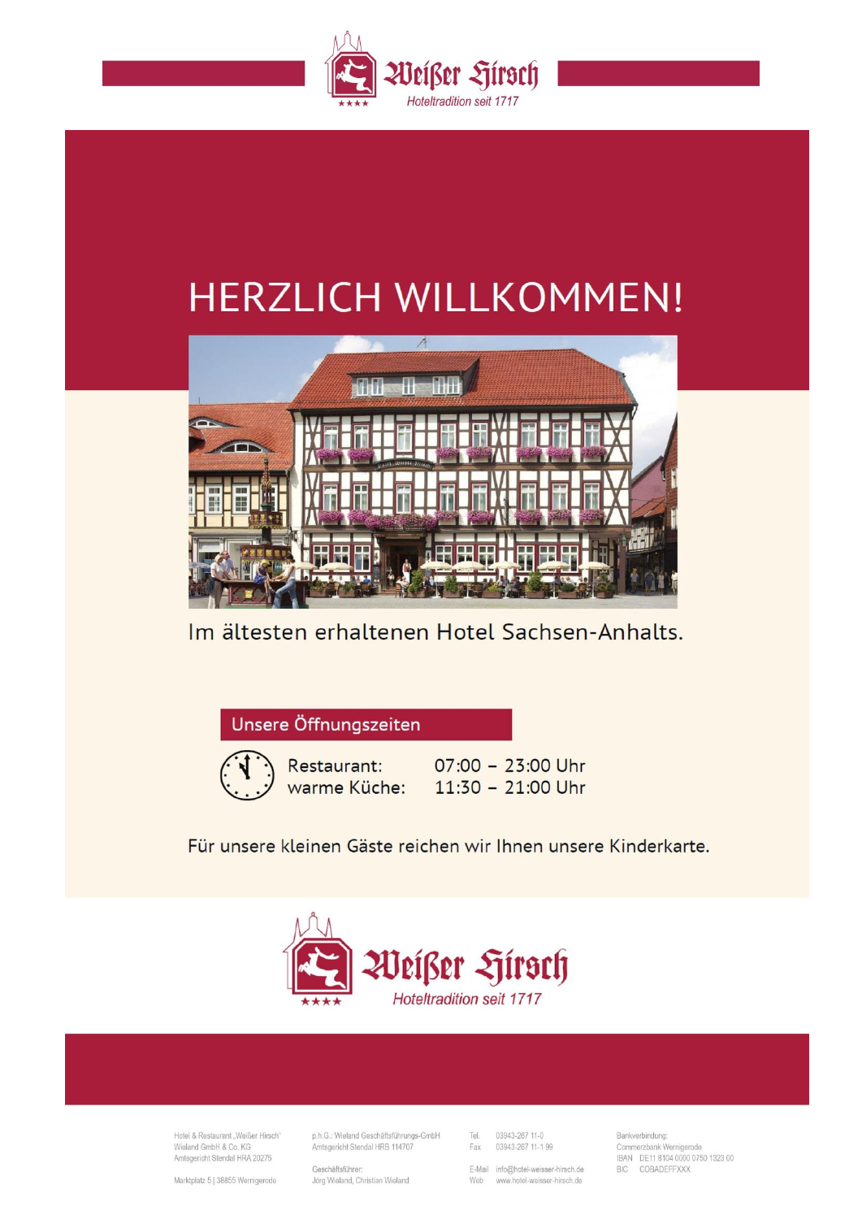

# **HERZLICH WILLKOMMEN!**



# Im ältesten erhaltenen Hotel Sachsen-Anhalts.

Unsere Öffnungszeiten



Restaurant: warme Küche: 07:00 - 23:00 Uhr  $11:30 - 21:00$  Uhr

Für unsere kleinen Gäste reichen wir Ihnen unsere Kinderkarte.



Hotel & Restaurant . Weißer Hirsch" Wieland GmbH & Co. KG Amtsgericht Stendal HRA 20275

p.h.G.: Wieland Geschäftsführungs-GmbH Amtsgericht Stendal HRB 114707

Geschäftsführer: Jörg Wieland, Christian Wieland

Tel. 03943-267 11-0 Fax 03943-267 11-1 99

E-Mail info@hotel-weisser-hirsch.de Web www.hotel-weisser-hirsch.de

Bankverbindung: Commerzbank Wernigerode IBAN DE11 8104 0000 0750 1323 00 BIC CORADEEEXXX

Marktplatz 5 | 38855 Wernigerode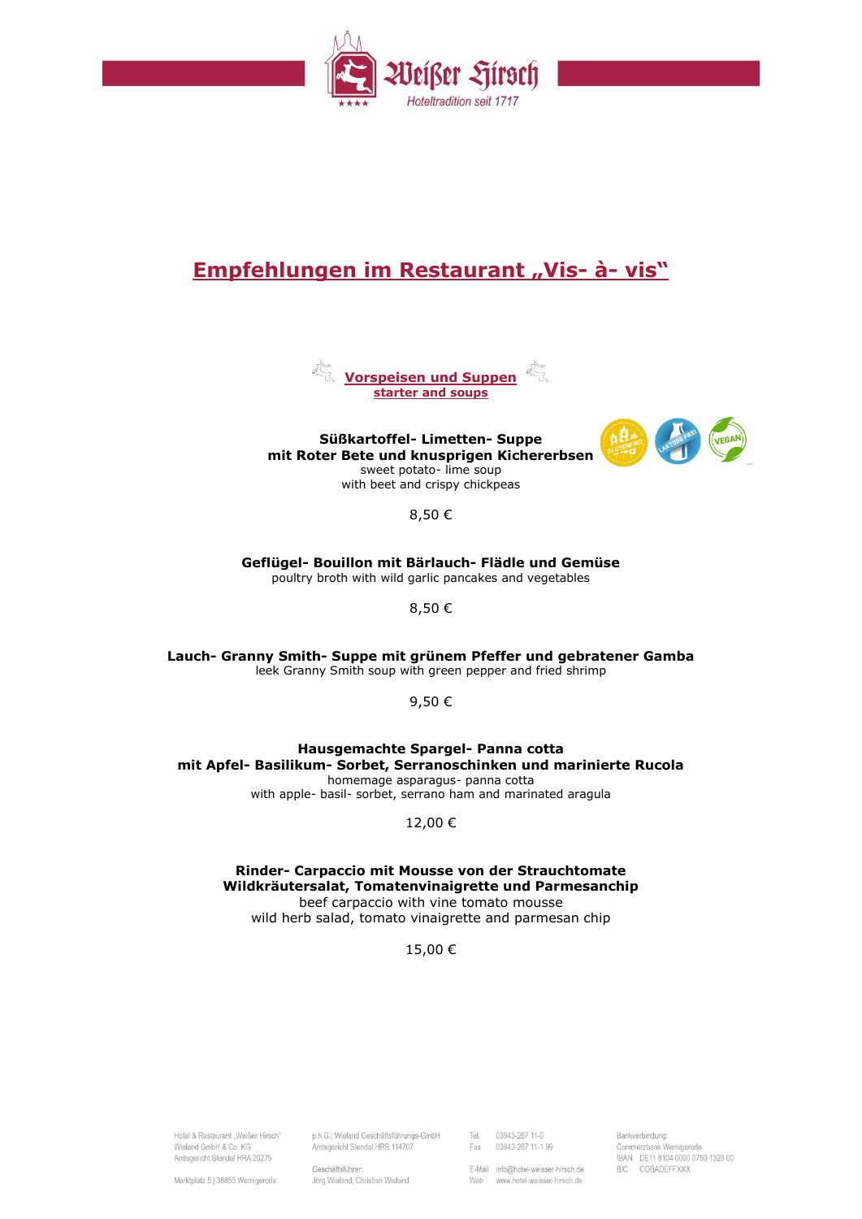

# **Empfehlungen im Restaurant "Vis- à- vis"**



**Süßkartoffel- Limetten- Suppe mit Roter Bete und knusprigen Kichererbsen** sweet potato- lime soup with beet and crispy chickpeas



8,50 €

**Geflügel- Bouillon mit Bärlauch- Flädle und Gemüse** poultry broth with wild garlic pancakes and vegetables

8,50 €

**Lauch- Granny Smith- Suppe mit grünem Pfeffer und gebratener Gamba** leek Granny Smith soup with green pepper and fried shrimp

9,50 €

**Hausgemachte Spargel- Panna cotta mit Apfel- Basilikum- Sorbet, Serranoschinken und marinierte Rucola** homemage asparagus- panna cotta

with apple- basil- sorbet, serrano ham and marinated aragula

12,00 €

**Rinder- Carpaccio mit Mousse von der Strauchtomate Wildkräutersalat, Tomatenvinaigrette und Parmesanchip** beef carpaccio with vine tomato mousse wild herb salad, tomato vinaigrette and parmesan chip

15,00 €

Hotel & Restaurant . Weißer Hirsch" Wieland GmbH & Co. KG Amtsgericht Stendal HRA 20275

p.h.G.: Wieland Geschäftsführungs-GmbH Amtsgericht Stendal HRB 114707

Tel. 03943-267 11-0 Fax 03943-267 11-1 99

E-Mail info@hotel-weisser-hirsch.de Web www.hotel-weisser-hirsch.de

Bankverbindung: Commerzbank Wernigerode IBAN DE11 8104 0000 0750 1323 00 BIC CORADEFEXXX

Marktplatz 5 | 38855 Wernigerode

Geschäftsführer: Jörg Wieland, Christian Wieland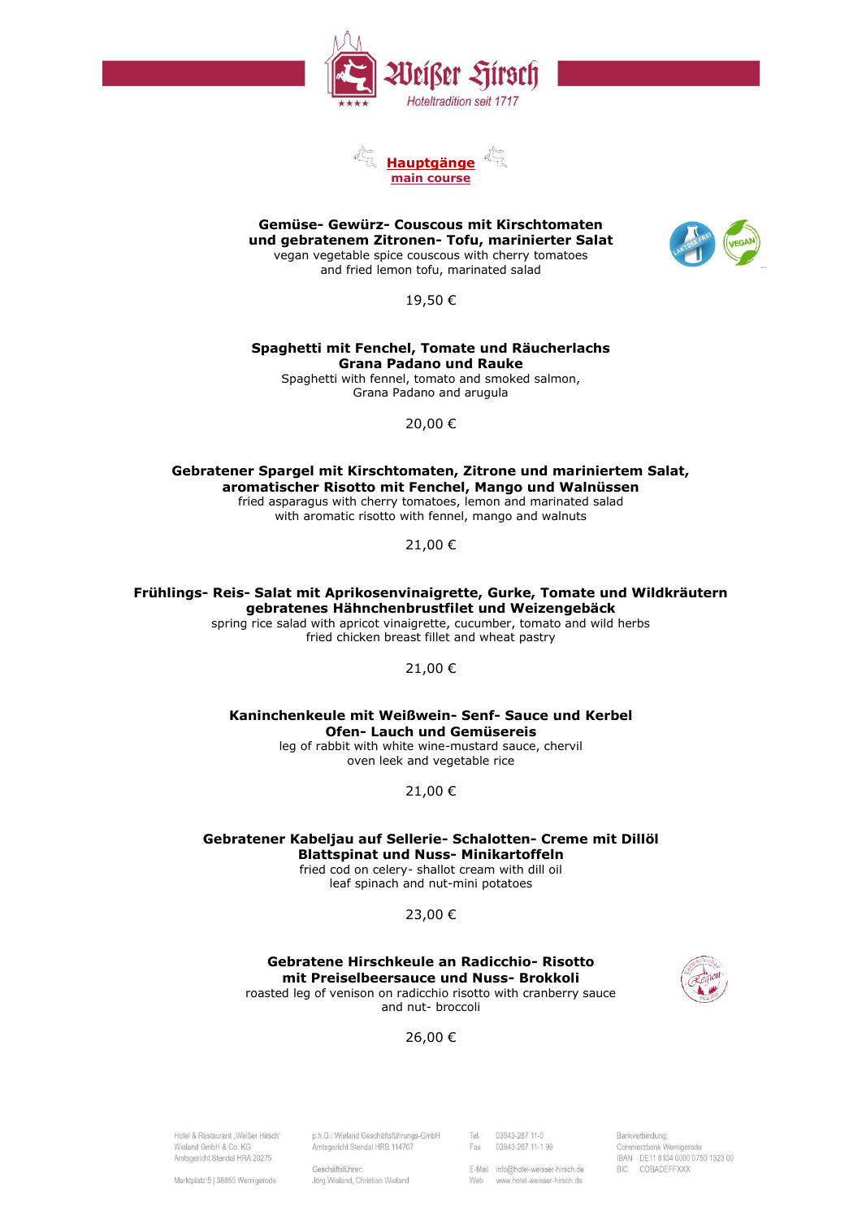



**Gemüse- Gewürz- Couscous mit Kirschtomaten und gebratenem Zitronen- Tofu, marinierter Salat** vegan vegetable spice couscous with cherry tomatoes and fried lemon tofu, marinated salad



19,50 €

#### **Spaghetti mit Fenchel, Tomate und Räucherlachs Grana Padano und Rauke**

Spaghetti with fennel, tomato and smoked salmon, Grana Padano and arugula

20,00 €

**Gebratener Spargel mit Kirschtomaten, Zitrone und mariniertem Salat, aromatischer Risotto mit Fenchel, Mango und Walnüssen** fried asparagus with cherry tomatoes, lemon and marinated salad

with aromatic risotto with fennel, mango and walnuts

21,00 €

**Frühlings- Reis- Salat mit Aprikosenvinaigrette, Gurke, Tomate und Wildkräutern gebratenes Hähnchenbrustfilet und Weizengebäck**

spring rice salad with apricot vinaigrette, cucumber, tomato and wild herbs fried chicken breast fillet and wheat pastry

## 21,00 €

**Kaninchenkeule mit Weißwein- Senf- Sauce und Kerbel Ofen- Lauch und Gemüsereis**

leg of rabbit with white wine-mustard sauce, chervil oven leek and vegetable rice

21,00 €

**Gebratener Kabeljau auf Sellerie- Schalotten- Creme mit Dillöl Blattspinat und Nuss- Minikartoffeln** fried cod on celery- shallot cream with dill oil

leaf spinach and nut-mini potatoes

# 23,00 €

**Gebratene Hirschkeule an Radicchio- Risotto mit Preiselbeersauce und Nuss- Brokkoli** roasted leg of venison on radicchio risotto with cranberry sauce and nut- broccoli



26,00 €

Hotel & Restaurant . Weißer Hirsch" Wieland GmbH & Co. KG Amtsgericht Stendal HRA 20275

Amtsgericht Stendal HRB 114707 Geschäftsführer: Jörg Wieland, Christian Wieland

p.h.G.: Wieland Geschäftsführungs-GmbH

03943-267 11-0 Tel. Fax 03943-267 11-1 99

E-Mail info@hotel-weisser-hirsch.de Web www.hotel-weisser-hirsch.de

Bankverbindung: Commerzbank Wernigerode IBAN DE11 8104 0000 0750 1323 00 BIC CORADEFEXXX

Marktplatz 5 | 38855 Wernigerode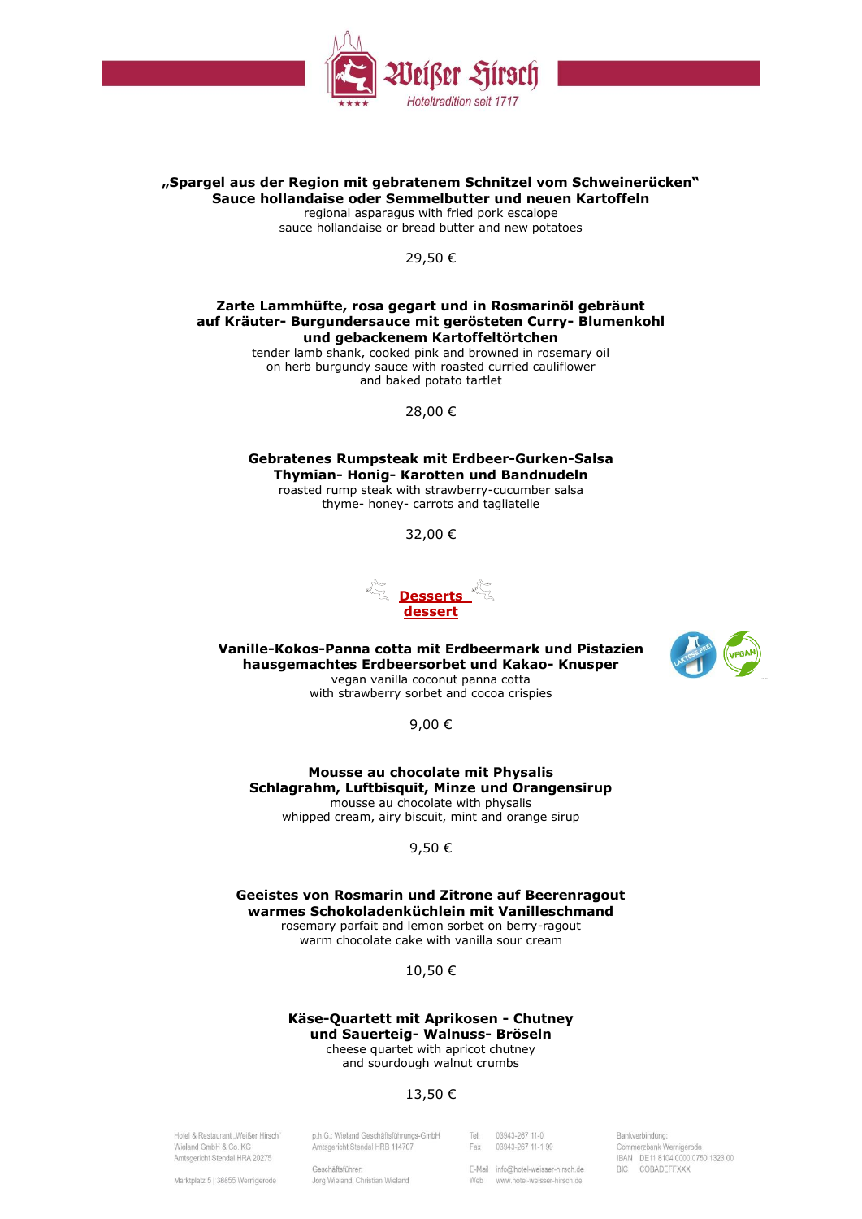

## **"Spargel aus der Region mit gebratenem Schnitzel vom Schweinerücken" Sauce hollandaise oder Semmelbutter und neuen Kartoffeln**

regional asparagus with fried pork escalope sauce hollandaise or bread butter and new potatoes

29,50 €

### **Zarte Lammhüfte, rosa gegart und in Rosmarinöl gebräunt auf Kräuter- Burgundersauce mit gerösteten Curry- Blumenkohl und gebackenem Kartoffeltörtchen**

tender lamb shank, cooked pink and browned in rosemary oil on herb burgundy sauce with roasted curried cauliflower and baked potato tartlet

28,00 €

**Gebratenes Rumpsteak mit Erdbeer-Gurken-Salsa Thymian- Honig- Karotten und Bandnudeln** roasted rump steak with strawberry-cucumber salsa thyme- honey- carrots and tagliatelle

32,00 €



**Vanille-Kokos-Panna cotta mit Erdbeermark und Pistazien hausgemachtes Erdbeersorbet und Kakao- Knusper** vegan vanilla coconut panna cotta

with strawberry sorbet and cocoa crispies

9,00 €

**Mousse au chocolate mit Physalis Schlagrahm, Luftbisquit, Minze und Orangensirup** mousse au chocolate with physalis whipped cream, airy biscuit, mint and orange sirup

9,50 €

**Geeistes von Rosmarin und Zitrone auf Beerenragout warmes Schokoladenküchlein mit Vanilleschmand** rosemary parfait and lemon sorbet on berry-ragout warm chocolate cake with vanilla sour cream

10,50 €

#### **Käse-Quartett mit Aprikosen - Chutney und Sauerteig- Walnuss- Bröseln** cheese quartet with apricot chutney

and sourdough walnut crumbs

# 13,50 €

Hotel & Restaurant . Weißer Hirsch" Wieland GmbH & Co. KG Amtsgericht Stendal HRA 20275

p.h.G.: Wieland Geschäftsführungs-GmbH Amtsgericht Stendal HRB 114707

03943-267 11-0 Tel. 03943-267 11-1 99 Fax

E-Mail info@hotel-weisser-hirsch.de

Web www.hotel-weisser-hirsch.de

Bankverbindung: Commerzbank Wernigerode IBAN DE11 8104 0000 0750 1323 00 BIC CORADEFEXXX

Marktplatz 5 | 38855 Wernigerode

Geschäftsführer Jörg Wieland, Christian Wieland